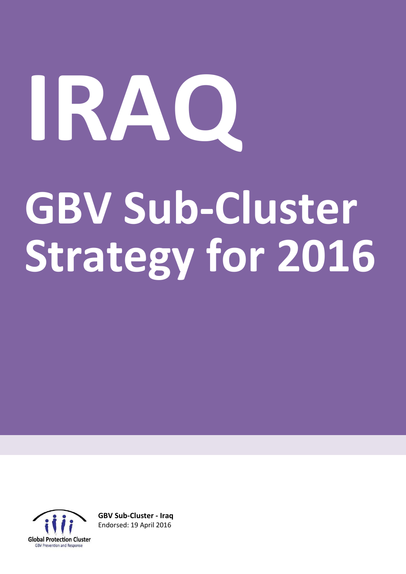# **IRAQ GBV Sub-Cluster Strategy for 2016**



**GBV Sub-Cluster - Iraq** Endorsed: 19 April 2016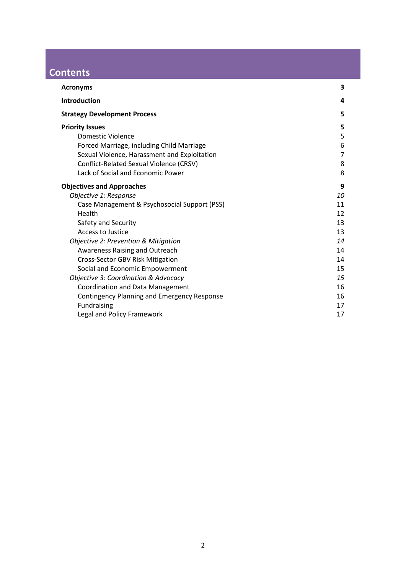# **Contents**

| <b>Acronyms</b>                                    | 3              |
|----------------------------------------------------|----------------|
| <b>Introduction</b>                                | 4              |
| <b>Strategy Development Process</b>                | 5              |
| <b>Priority Issues</b>                             | 5              |
| <b>Domestic Violence</b>                           | 5              |
| Forced Marriage, including Child Marriage          | 6              |
| Sexual Violence, Harassment and Exploitation       | $\overline{7}$ |
| Conflict-Related Sexual Violence (CRSV)            | 8              |
| Lack of Social and Economic Power                  | 8              |
| <b>Objectives and Approaches</b>                   | 9              |
| Objective 1: Response                              | 10             |
| Case Management & Psychosocial Support (PSS)       | 11             |
| Health                                             | 12             |
| Safety and Security                                | 13             |
| Access to Justice                                  | 13             |
| Objective 2: Prevention & Mitigation               | 14             |
| Awareness Raising and Outreach                     | 14             |
| Cross-Sector GBV Risk Mitigation                   | 14             |
| Social and Economic Empowerment                    | 15             |
| Objective 3: Coordination & Advocacy               | 15             |
| Coordination and Data Management                   | 16             |
| <b>Contingency Planning and Emergency Response</b> | 16             |
| Fundraising                                        | 17             |
| Legal and Policy Framework                         | 17             |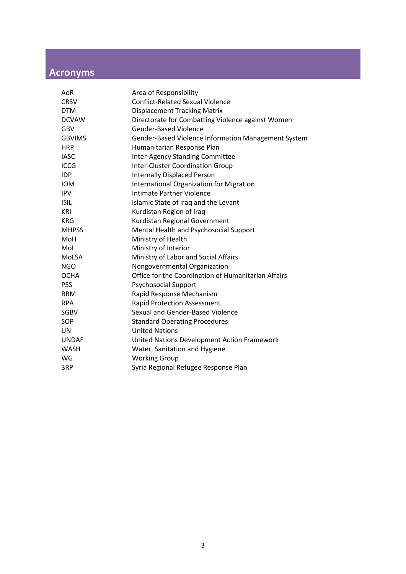# <span id="page-2-0"></span>**Acronyms**

| AoR           | Area of Responsibility                              |
|---------------|-----------------------------------------------------|
| <b>CRSV</b>   | <b>Conflict-Related Sexual Violence</b>             |
| <b>DTM</b>    | <b>Displacement Tracking Matrix</b>                 |
| <b>DCVAW</b>  | Directorate for Combatting Violence against Women   |
| <b>GBV</b>    | <b>Gender-Based Violence</b>                        |
| <b>GBVIMS</b> | Gender-Based Violence Information Management System |
| <b>HRP</b>    | Humanitarian Response Plan                          |
| <b>IASC</b>   | Inter-Agency Standing Committee                     |
| <b>ICCG</b>   | <b>Inter-Cluster Coordination Group</b>             |
| <b>IDP</b>    | <b>Internally Displaced Person</b>                  |
| <b>IOM</b>    | <b>International Organization for Migration</b>     |
| <b>IPV</b>    | Intimate Partner Violence                           |
| <b>ISIL</b>   | Islamic State of Iraq and the Levant                |
| <b>KRI</b>    | Kurdistan Region of Iraq                            |
| <b>KRG</b>    | Kurdistan Regional Government                       |
| <b>MHPSS</b>  | Mental Health and Psychosocial Support              |
| MoH           | Ministry of Health                                  |
| Mol           | Ministry of Interior                                |
| MoLSA         | Ministry of Labor and Social Affairs                |
| <b>NGO</b>    | Nongovernmental Organization                        |
| <b>OCHA</b>   | Office for the Coordination of Humanitarian Affairs |
| <b>PSS</b>    | <b>Psychosocial Support</b>                         |
| <b>RRM</b>    | Rapid Response Mechanism                            |
| <b>RPA</b>    | <b>Rapid Protection Assessment</b>                  |
| <b>SGBV</b>   | Sexual and Gender-Based Violence                    |
| SOP           | <b>Standard Operating Procedures</b>                |
| <b>UN</b>     | <b>United Nations</b>                               |
| <b>UNDAF</b>  | United Nations Development Action Framework         |
| <b>WASH</b>   | Water, Sanitation and Hygiene                       |
| WG            | <b>Working Group</b>                                |
| 3RP           | Syria Regional Refugee Response Plan                |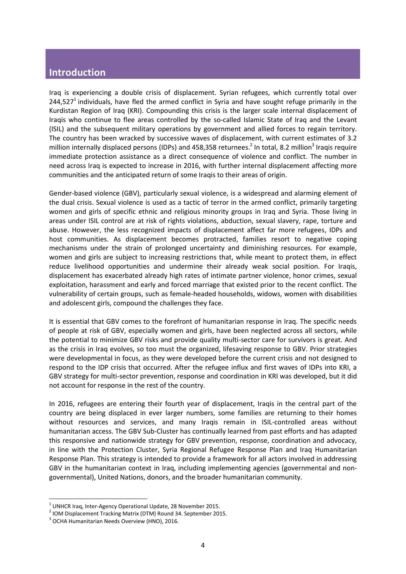## <span id="page-3-0"></span>**Introduction**

Iraq is experiencing a double crisis of displacement. Syrian refugees, which currently total over 244,527<sup>1</sup> individuals, have fled the armed conflict in Syria and have sought refuge primarily in the Kurdistan Region of Iraq (KRI). Compounding this crisis is the larger scale internal displacement of Iraqis who continue to flee areas controlled by the so-called Islamic State of Iraq and the Levant (ISIL) and the subsequent military operations by government and allied forces to regain territory. The country has been wracked by successive waves of displacement, with current estimates of 3.2 million internally displaced persons (IDPs) and 458,358 returnees.<sup>2</sup> In total, 8.2 million<sup>3</sup> Iraqis require immediate protection assistance as a direct consequence of violence and conflict. The number in need across Iraq is expected to increase in 2016, with further internal displacement affecting more communities and the anticipated return of some Iraqis to their areas of origin.

Gender-based violence (GBV), particularly sexual violence, is a widespread and alarming element of the dual crisis. Sexual violence is used as a tactic of terror in the armed conflict, primarily targeting women and girls of specific ethnic and religious minority groups in Iraq and Syria. Those living in areas under ISIL control are at risk of rights violations, abduction, sexual slavery, rape, torture and abuse. However, the less recognized impacts of displacement affect far more refugees, IDPs and host communities. As displacement becomes protracted, families resort to negative coping mechanisms under the strain of prolonged uncertainty and diminishing resources. For example, women and girls are subject to increasing restrictions that, while meant to protect them, in effect reduce livelihood opportunities and undermine their already weak social position. For Iraqis, displacement has exacerbated already high rates of intimate partner violence, honor crimes, sexual exploitation, harassment and early and forced marriage that existed prior to the recent conflict. The vulnerability of certain groups, such as female-headed households, widows, women with disabilities and adolescent girls, compound the challenges they face.

It is essential that GBV comes to the forefront of humanitarian response in Iraq. The specific needs of people at risk of GBV, especially women and girls, have been neglected across all sectors, while the potential to minimize GBV risks and provide quality multi-sector care for survivors is great. And as the crisis in Iraq evolves, so too must the organized, lifesaving response to GBV. Prior strategies were developmental in focus, as they were developed before the current crisis and not designed to respond to the IDP crisis that occurred. After the refugee influx and first waves of IDPs into KRI, a GBV strategy for multi-sector prevention, response and coordination in KRI was developed, but it did not account for response in the rest of the country.

In 2016, refugees are entering their fourth year of displacement, Iraqis in the central part of the country are being displaced in ever larger numbers, some families are returning to their homes without resources and services, and many Iraqis remain in ISIL-controlled areas without humanitarian access. The GBV Sub-Cluster has continually learned from past efforts and has adapted this responsive and nationwide strategy for GBV prevention, response, coordination and advocacy, in line with the Protection Cluster, Syria Regional Refugee Response Plan and Iraq Humanitarian Response Plan. This strategy is intended to provide a framework for all actors involved in addressing GBV in the humanitarian context in Iraq, including implementing agencies (governmental and nongovernmental), United Nations, donors, and the broader humanitarian community.

 $1$  UNHCR Iraq, Inter-Agency Operational Update, 28 November 2015.

<sup>&</sup>lt;sup>2</sup> IOM Displacement Tracking Matrix (DTM) Round 34. September 2015.

<sup>&</sup>lt;sup>3</sup> OCHA Humanitarian Needs Overview (HNO), 2016.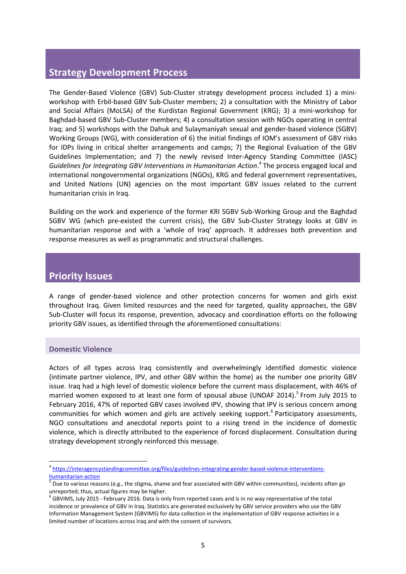## <span id="page-4-0"></span>**Strategy Development Process**

The Gender-Based Violence (GBV) Sub-Cluster strategy development process included 1) a miniworkshop with Erbil-based GBV Sub-Cluster members; 2) a consultation with the Ministry of Labor and Social Affairs (MoLSA) of the Kurdistan Regional Government (KRG); 3) a mini-workshop for Baghdad-based GBV Sub-Cluster members; 4) a consultation session with NGOs operating in central Iraq; and 5) workshops with the Dahuk and Sulaymaniyah sexual and gender-based violence (SGBV) Working Groups (WG), with consideration of 6) the initial findings of IOM's assessment of GBV risks for IDPs living in critical shelter arrangements and camps; 7) the Regional Evaluation of the GBV Guidelines Implementation; and 7) the newly revised Inter-Agency Standing Committee (IASC) *Guidelines for Integrating GBV Interventions in Humanitarian Action*. 4 The process engaged local and international nongovernmental organizations (NGOs), KRG and federal government representatives, and United Nations (UN) agencies on the most important GBV issues related to the current humanitarian crisis in Iraq.

Building on the work and experience of the former KRI SGBV Sub-Working Group and the Baghdad SGBV WG (which pre-existed the current crisis), the GBV Sub-Cluster Strategy looks at GBV in humanitarian response and with a 'whole of Iraq' approach. It addresses both prevention and response measures as well as programmatic and structural challenges.

### <span id="page-4-1"></span>**Priority Issues**

A range of gender-based violence and other protection concerns for women and girls exist throughout Iraq. Given limited resources and the need for targeted, quality approaches, the GBV Sub-Cluster will focus its response, prevention, advocacy and coordination efforts on the following priority GBV issues, as identified through the aforementioned consultations:

#### <span id="page-4-2"></span>**Domestic Violence**

<u>.</u>

Actors of all types across Iraq consistently and overwhelmingly identified domestic violence (intimate partner violence, IPV, and other GBV within the home) as the number one priority GBV issue. Iraq had a high level of domestic violence before the current mass displacement, with 46% of married women exposed to at least one form of spousal abuse (UNDAF 2014).<sup>5</sup> From July 2015 to February 2016, 47% of reported GBV cases involved IPV, showing that IPV is serious concern among communities for which women and girls are actively seeking support.<sup>6</sup> Participatory assessments, NGO consultations and anecdotal reports point to a rising trend in the incidence of domestic violence, which is directly attributed to the experience of forced displacement. Consultation during strategy development strongly reinforced this message.

<sup>&</sup>lt;sup>4</sup> [https://interagencystandingcommittee.org/files/guidelines-integrating-gender-based-violence-interventions](https://interagencystandingcommittee.org/files/guidelines-integrating-gender-based-violence-interventions-humanitarian-action)[humanitarian-action](https://interagencystandingcommittee.org/files/guidelines-integrating-gender-based-violence-interventions-humanitarian-action)

<sup>&</sup>lt;sup>5</sup> Due to various reasons (e.g., the stigma, shame and fear associated with GBV within communities), incidents often go unreported; thus, actual figures may be higher.

<sup>&</sup>lt;sup>6</sup> GBVIMS, July 2015 - February 2016. Data is only from reported cases and is in no way representative of the total incidence or prevalence of GBV in Iraq. Statistics are generated exclusively by GBV service providers who use the GBV Information Management System (GBVIMS) for data collection in the implementation of GBV response activities in a limited number of locations across Iraq and with the consent of survivors.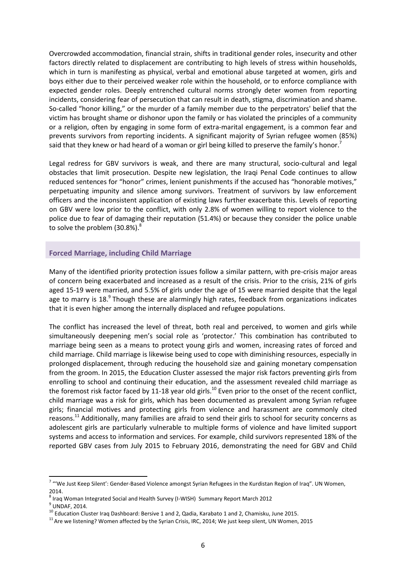Overcrowded accommodation, financial strain, shifts in traditional gender roles, insecurity and other factors directly related to displacement are contributing to high levels of stress within households, which in turn is manifesting as physical, verbal and emotional abuse targeted at women, girls and boys either due to their perceived weaker role within the household, or to enforce compliance with expected gender roles. Deeply entrenched cultural norms strongly deter women from reporting incidents, considering fear of persecution that can result in death, stigma, discrimination and shame. So-called "honor killing," or the murder of a family member due to the perpetrators' belief that the victim has brought shame or dishonor upon the family or has violated the principles of a community or a religion, often by engaging in some form of extra-marital engagement, is a common fear and prevents survivors from reporting incidents. A significant majority of Syrian refugee women (85%) said that they knew or had heard of a woman or girl being killed to preserve the family's honor.<sup>7</sup>

Legal redress for GBV survivors is weak, and there are many structural, socio-cultural and legal obstacles that limit prosecution. Despite new legislation, the Iraqi Penal Code continues to allow reduced sentences for "honor" crimes, lenient punishments if the accused has "honorable motives," perpetuating impunity and silence among survivors. Treatment of survivors by law enforcement officers and the inconsistent application of existing laws further exacerbate this. Levels of reporting on GBV were low prior to the conflict, with only 2.8% of women willing to report violence to the police due to fear of damaging their reputation (51.4%) or because they consider the police unable to solve the problem (30.8%). $^{8}$ 

#### <span id="page-5-0"></span>**Forced Marriage, including Child Marriage**

Many of the identified priority protection issues follow a similar pattern, with pre-crisis major areas of concern being exacerbated and increased as a result of the crisis. Prior to the crisis, 21% of girls aged 15-19 were married, and 5.5% of girls under the age of 15 were married despite that the legal age to marry is 18.<sup>9</sup> Though these are alarmingly high rates, feedback from organizations indicates that it is even higher among the internally displaced and refugee populations.

The conflict has increased the level of threat, both real and perceived, to women and girls while simultaneously deepening men's social role as 'protector.' This combination has contributed to marriage being seen as a means to protect young girls and women, increasing rates of forced and child marriage. Child marriage is likewise being used to cope with diminishing resources, especially in prolonged displacement, through reducing the household size and gaining monetary compensation from the groom. In 2015, the Education Cluster assessed the major risk factors preventing girls from enrolling to school and continuing their education, and the assessment revealed child marriage as the foremost risk factor faced by 11-18 year old girls.<sup>10</sup> Even prior to the onset of the recent conflict, child marriage was a risk for girls, which has been documented as prevalent among Syrian refugee girls; financial motives and protecting girls from violence and harassment are commonly cited reasons.<sup>11</sup> Additionally, many families are afraid to send their girls to school for security concerns as adolescent girls are particularly vulnerable to multiple forms of violence and have limited support systems and access to information and services. For example, child survivors represented 18% of the reported GBV cases from July 2015 to February 2016, demonstrating the need for GBV and Child

<sup>&</sup>lt;sup>7</sup> "'We Just Keep Silent': Gender-Based Violence amongst Syrian Refugees in the Kurdistan Region of Iraq". UN Women, 2014.

<sup>&</sup>lt;sup>8</sup> Iraq Woman Integrated Social and Health Survey (I-WISH) Summary Report March 2012

 $^9$  UNDAF, 2014.

<sup>&</sup>lt;sup>10</sup> Education Cluster Iraq Dashboard: Bersive 1 and 2, Qadia, Karabato 1 and 2, Chamisku, June 2015.

 $11$  Are we listening? Women affected by the Syrian Crisis, IRC, 2014; We just keep silent, UN Women, 2015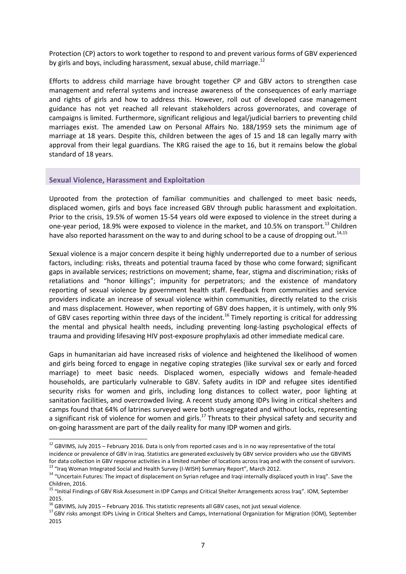Protection (CP) actors to work together to respond to and prevent various forms of GBV experienced by girls and boys, including harassment, sexual abuse, child marriage.<sup>12</sup>

Efforts to address child marriage have brought together CP and GBV actors to strengthen case management and referral systems and increase awareness of the consequences of early marriage and rights of girls and how to address this. However, roll out of developed case management guidance has not yet reached all relevant stakeholders across governorates, and coverage of campaigns is limited. Furthermore, significant religious and legal/judicial barriers to preventing child marriages exist. The amended Law on Personal Affairs No. 188/1959 sets the minimum age of marriage at 18 years. Despite this, children between the ages of 15 and 18 can legally marry with approval from their legal guardians. The KRG raised the age to 16, but it remains below the global standard of 18 years.

#### <span id="page-6-0"></span>**Sexual Violence, Harassment and Exploitation**

<u>.</u>

Uprooted from the protection of familiar communities and challenged to meet basic needs, displaced women, girls and boys face increased GBV through public harassment and exploitation. Prior to the crisis, 19.5% of women 15-54 years old were exposed to violence in the street during a one-year period, 18.9% were exposed to violence in the market, and 10.5% on transport.<sup>13</sup> Children have also reported harassment on the way to and during school to be a cause of dropping out.<sup>14,15</sup>

Sexual violence is a major concern despite it being highly underreported due to a number of serious factors, including: risks, threats and potential trauma faced by those who come forward; significant gaps in available services; restrictions on movement; shame, fear, stigma and discrimination; risks of retaliations and "honor killings"; impunity for perpetrators; and the existence of mandatory reporting of sexual violence by government health staff. Feedback from communities and service providers indicate an increase of sexual violence within communities, directly related to the crisis and mass displacement. However, when reporting of GBV does happen, it is untimely, with only 9% of GBV cases reporting within three days of the incident.<sup>16</sup> Timely reporting is critical for addressing the mental and physical health needs, including preventing long-lasting psychological effects of trauma and providing lifesaving HIV post-exposure prophylaxis ad other immediate medical care.

Gaps in humanitarian aid have increased risks of violence and heightened the likelihood of women and girls being forced to engage in negative coping strategies (like survival sex or early and forced marriage) to meet basic needs. Displaced women, especially widows and female-headed households, are particularly vulnerable to GBV. Safety audits in IDP and refugee sites identified security risks for women and girls, including long distances to collect water, poor lighting at sanitation facilities, and overcrowded living. A recent study among IDPs living in critical shelters and camps found that 64% of latrines surveyed were both unsegregated and without locks, representing a significant risk of violence for women and girls.<sup>17</sup> Threats to their physical safety and security and on-going harassment are part of the daily reality for many IDP women and girls.

 $12$  GBVIMS, July 2015 – February 2016. Data is only from reported cases and is in no way representative of the total incidence or prevalence of GBV in Iraq. Statistics are generated exclusively by GBV service providers who use the GBVIMS for data collection in GBV response activities in a limited number of locations across Iraq and with the consent of survivors. <sup>13</sup> "Iraq Woman Integrated Social and Health Survey (I-WISH) Summary Report", March 2012.

<sup>&</sup>lt;sup>14</sup> "Uncertain Futures: The impact of displacement on Syrian refugee and Iraqi internally displaced youth in Iraq". Save the Children, 2016.

<sup>&</sup>lt;sup>15</sup> "Initial Findings of GBV Risk Assessment in IDP Camps and Critical Shelter Arrangements across Iraq". IOM, September 2015.

<sup>&</sup>lt;sup>16</sup> GBVIMS, July 2015 – February 2016. This statistic represents all GBV cases, not just sexual violence.

<sup>&</sup>lt;sup>17</sup> GBV risks amongst IDPs Living in Critical Shelters and Camps, International Organization for Migration (IOM), September 2015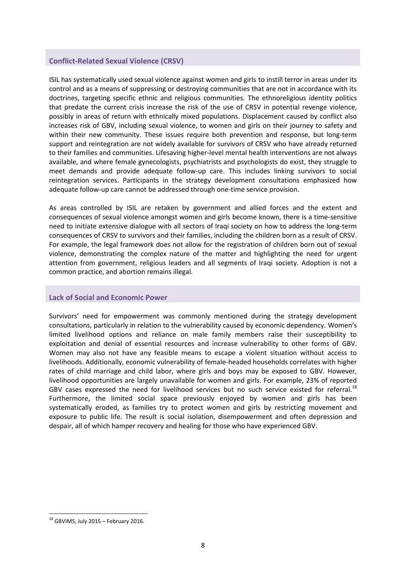#### <span id="page-7-0"></span>**Conflict-Related Sexual Violence (CRSV)**

ISIL has systematically used sexual violence against women and girls to instill terror in areas under its control and as a means of suppressing or destroying communities that are not in accordance with its doctrines, targeting specific ethnic and religious communities. The ethnoreligious identity politics that predate the current crisis increase the risk of the use of CRSV in potential revenge violence, possibly in areas of return with ethnically mixed populations. Displacement caused by conflict also increases risk of GBV, including sexual violence, to women and girls on their journey to safety and within their new community. These issues require both prevention and response, but long-term support and reintegration are not widely available for survivors of CRSV who have already returned to their families and communities. Lifesaving higher-level mental health interventions are not always available, and where female gynecologists, psychiatrists and psychologists do exist, they struggle to meet demands and provide adequate follow-up care. This includes linking survivors to social reintegration services. Participants in the strategy development consultations emphasized how adequate follow-up care cannot be addressed through one-time service provision.

As areas controlled by ISIL are retaken by government and allied forces and the extent and consequences of sexual violence amongst women and girls become known, there is a time-sensitive need to initiate extensive dialogue with all sectors of Iraqi society on how to address the long-term consequences of CRSV to survivors and their families, including the children born as a result of CRSV. For example, the legal framework does not allow for the registration of children born out of sexual violence, demonstrating the complex nature of the matter and highlighting the need for urgent attention from government, religious leaders and all segments of Iraqi society. Adoption is not a common practice, and abortion remains illegal.

#### <span id="page-7-1"></span>**Lack of Social and Economic Power**

Survivors' need for empowerment was commonly mentioned during the strategy development consultations, particularly in relation to the vulnerability caused by economic dependency. Women's limited livelihood options and reliance on male family members raise their susceptibility to exploitation and denial of essential resources and increase vulnerability to other forms of GBV. Women may also not have any feasible means to escape a violent situation without access to livelihoods. Additionally, economic vulnerability of female-headed households correlates with higher rates of child marriage and child labor, where girls and boys may be exposed to GBV. However, livelihood opportunities are largely unavailable for women and girls. For example, 23% of reported GBV cases expressed the need for livelihood services but no such service existed for referral.<sup>18</sup> Furthermore, the limited social space previously enjoyed by women and girls has been systematically eroded, as families try to protect women and girls by restricting movement and exposure to public life. The result is social isolation, disempowerment and often depression and despair, all of which hamper recovery and healing for those who have experienced GBV.

 $18$  GBVIMS, July 2015 – February 2016.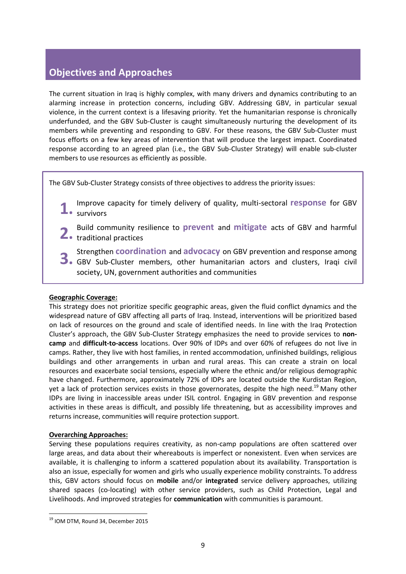# <span id="page-8-0"></span>**Objectives and Approaches**

The current situation in Iraq is highly complex, with many drivers and dynamics contributing to an alarming increase in protection concerns, including GBV. Addressing GBV, in particular sexual violence, in the current context is a lifesaving priority. Yet the humanitarian response is chronically underfunded, and the GBV Sub-Cluster is caught simultaneously nurturing the development of its members while preventing and responding to GBV. For these reasons, the GBV Sub-Cluster must focus efforts on a few key areas of intervention that will produce the largest impact. Coordinated response according to an agreed plan (i.e., the GBV Sub-Cluster Strategy) will enable sub-cluster members to use resources as efficiently as possible.

The GBV Sub-Cluster Strategy consists of three objectives to address the priority issues:

- Improve capacity for timely delivery of quality, multi-sectoral **response** for GBV 1. **Improve**<br>survivors
- Build community resilience to **prevent** and **mitigate** acts of GBV and harmful **2.** Build community re
- Strengthen **coordination** and **advocacy** on GBV prevention and response among Strengthen **coordination** and **advocacy** on GBV prevention and response among<br>**3.** GBV Sub-Cluster members, other humanitarian actors and clusters, Iraqi civil society, UN, government authorities and communities

#### **Geographic Coverage:**

This strategy does not prioritize specific geographic areas, given the fluid conflict dynamics and the widespread nature of GBV affecting all parts of Iraq. Instead, interventions will be prioritized based on lack of resources on the ground and scale of identified needs. In line with the Iraq Protection Cluster's approach, the GBV Sub-Cluster Strategy emphasizes the need to provide services to **noncamp** and **difficult-to-access** locations. Over 90% of IDPs and over 60% of refugees do not live in camps. Rather, they live with host families, in rented accommodation, unfinished buildings, religious buildings and other arrangements in urban and rural areas. This can create a strain on local resources and exacerbate social tensions, especially where the ethnic and/or religious demographic have changed. Furthermore, approximately 72% of IDPs are located outside the Kurdistan Region, yet a lack of protection services exists in those governorates, despite the high need.<sup>19</sup> Many other IDPs are living in inaccessible areas under ISIL control. Engaging in GBV prevention and response activities in these areas is difficult, and possibly life threatening, but as accessibility improves and returns increase, communities will require protection support.

#### **Overarching Approaches:**

Serving these populations requires creativity, as non-camp populations are often scattered over large areas, and data about their whereabouts is imperfect or nonexistent. Even when services are available, it is challenging to inform a scattered population about its availability. Transportation is also an issue, especially for women and girls who usually experience mobility constraints. To address this, GBV actors should focus on **mobile** and/or **integrated** service delivery approaches, utilizing shared spaces (co-locating) with other service providers, such as Child Protection, Legal and Livelihoods. And improved strategies for **communication** with communities is paramount.

<sup>&</sup>lt;sup>19</sup> IOM DTM, Round 34, December 2015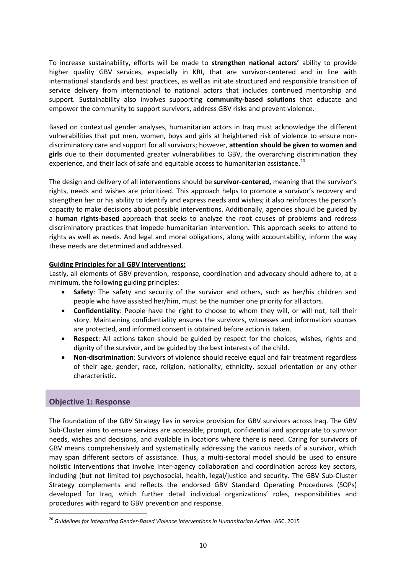To increase sustainability, efforts will be made to **strengthen national actors'** ability to provide higher quality GBV services, especially in KRI, that are survivor-centered and in line with international standards and best practices, as well as initiate structured and responsible transition of service delivery from international to national actors that includes continued mentorship and support. Sustainability also involves supporting **community-based solutions** that educate and empower the community to support survivors, address GBV risks and prevent violence.

Based on contextual gender analyses, humanitarian actors in Iraq must acknowledge the different vulnerabilities that put men, women, boys and girls at heightened risk of violence to ensure nondiscriminatory care and support for all survivors; however, **attention should be given to women and girls** due to their documented greater vulnerabilities to GBV, the overarching discrimination they experience, and their lack of safe and equitable access to humanitarian assistance.<sup>20</sup>

The design and delivery of all interventions should be **survivor-centered,** meaning that the survivor's rights, needs and wishes are prioritized. This approach helps to promote a survivor's recovery and strengthen her or his ability to identify and express needs and wishes; it also reinforces the person's capacity to make decisions about possible interventions. Additionally, agencies should be guided by a **human rights-based** approach that seeks to analyze the root causes of problems and redress discriminatory practices that impede humanitarian intervention. This approach seeks to attend to rights as well as needs. And legal and moral obligations, along with accountability, inform the way these needs are determined and addressed.

#### **Guiding Principles for all GBV Interventions:**

Lastly, all elements of GBV prevention, response, coordination and advocacy should adhere to, at a minimum, the following guiding principles:

- **Safety**: The safety and security of the survivor and others, such as her/his children and people who have assisted her/him, must be the number one priority for all actors.
- **Confidentiality**: People have the right to choose to whom they will, or will not, tell their story. Maintaining confidentiality ensures the survivors, witnesses and information sources are protected, and informed consent is obtained before action is taken.
- **Respect**: All actions taken should be guided by respect for the choices, wishes, rights and dignity of the survivor, and be guided by the best interests of the child.
- **Non-discrimination**: Survivors of violence should receive equal and fair treatment regardless of their age, gender, race, religion, nationality, ethnicity, sexual orientation or any other characteristic.

#### <span id="page-9-0"></span>**Objective 1: Response**

<u>.</u>

The foundation of the GBV Strategy lies in service provision for GBV survivors across Iraq. The GBV Sub-Cluster aims to ensure services are accessible, prompt, confidential and appropriate to survivor needs, wishes and decisions, and available in locations where there is need. Caring for survivors of GBV means comprehensively and systematically addressing the various needs of a survivor, which may span different sectors of assistance. Thus, a multi-sectoral model should be used to ensure holistic interventions that involve inter-agency collaboration and coordination across key sectors, including (but not limited to) psychosocial, health, legal/justice and security. The GBV Sub-Cluster Strategy complements and reflects the endorsed GBV Standard Operating Procedures (SOPs) developed for Iraq, which further detail individual organizations' roles, responsibilities and procedures with regard to GBV prevention and response.

<sup>&</sup>lt;sup>20</sup> Guidelines for Integrating Gender-Based Violence Interventions in Humanitarian Action. IASC. 2015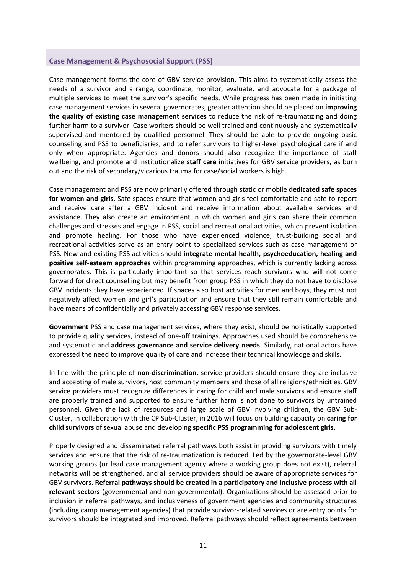#### <span id="page-10-0"></span>**Case Management & Psychosocial Support (PSS)**

Case management forms the core of GBV service provision. This aims to systematically assess the needs of a survivor and arrange, coordinate, monitor, evaluate, and advocate for a package of multiple services to meet the survivor's specific needs. While progress has been made in initiating case management services in several governorates, greater attention should be placed on **improving the quality of existing case management services** to reduce the risk of re-traumatizing and doing further harm to a survivor. Case workers should be well trained and continuously and systematically supervised and mentored by qualified personnel. They should be able to provide ongoing basic counseling and PSS to beneficiaries, and to refer survivors to higher-level psychological care if and only when appropriate. Agencies and donors should also recognize the importance of staff wellbeing, and promote and institutionalize **staff care** initiatives for GBV service providers, as burn out and the risk of secondary/vicarious trauma for case/social workers is high.

Case management and PSS are now primarily offered through static or mobile **dedicated safe spaces for women and girls**. Safe spaces ensure that women and girls feel comfortable and safe to report and receive care after a GBV incident and receive information about available services and assistance. They also create an environment in which women and girls can share their common challenges and stresses and engage in PSS, social and recreational activities, which prevent isolation and promote healing. For those who have experienced violence, trust-building social and recreational activities serve as an entry point to specialized services such as case management or PSS. New and existing PSS activities should **integrate mental health, psychoeducation, healing and positive self-esteem approaches** within programming approaches, which is currently lacking across governorates. This is particularly important so that services reach survivors who will not come forward for direct counselling but may benefit from group PSS in which they do not have to disclose GBV incidents they have experienced. If spaces also host activities for men and boys, they must not negatively affect women and girl's participation and ensure that they still remain comfortable and have means of confidentially and privately accessing GBV response services.

**Government** PSS and case management services, where they exist, should be holistically supported to provide quality services, instead of one-off trainings. Approaches used should be comprehensive and systematic and **address governance and service delivery needs**. Similarly, national actors have expressed the need to improve quality of care and increase their technical knowledge and skills.

In line with the principle of **non-discrimination**, service providers should ensure they are inclusive and accepting of male survivors, host community members and those of all religions/ethnicities. GBV service providers must recognize differences in caring for child and male survivors and ensure staff are properly trained and supported to ensure further harm is not done to survivors by untrained personnel. Given the lack of resources and large scale of GBV involving children, the GBV Sub-Cluster, in collaboration with the CP Sub-Cluster, in 2016 will focus on building capacity on **caring for child survivors** of sexual abuse and developing **specific PSS programming for adolescent girls**.

Properly designed and disseminated referral pathways both assist in providing survivors with timely services and ensure that the risk of re-traumatization is reduced. Led by the governorate-level GBV working groups (or lead case management agency where a working group does not exist), referral networks will be strengthened, and all service providers should be aware of appropriate services for GBV survivors. **Referral pathways should be created in a participatory and inclusive process with all relevant sectors** (governmental and non-governmental). Organizations should be assessed prior to inclusion in referral pathways, and inclusiveness of government agencies and community structures (including camp management agencies) that provide survivor-related services or are entry points for survivors should be integrated and improved. Referral pathways should reflect agreements between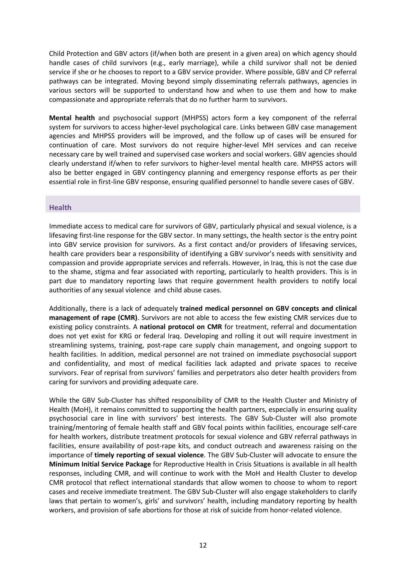Child Protection and GBV actors (if/when both are present in a given area) on which agency should handle cases of child survivors (e.g., early marriage), while a child survivor shall not be denied service if she or he chooses to report to a GBV service provider. Where possible, GBV and CP referral pathways can be integrated. Moving beyond simply disseminating referrals pathways, agencies in various sectors will be supported to understand how and when to use them and how to make compassionate and appropriate referrals that do no further harm to survivors.

**Mental health** and psychosocial support (MHPSS) actors form a key component of the referral system for survivors to access higher-level psychological care. Links between GBV case management agencies and MHPSS providers will be improved, and the follow up of cases will be ensured for continuation of care. Most survivors do not require higher-level MH services and can receive necessary care by well trained and supervised case workers and social workers. GBV agencies should clearly understand if/when to refer survivors to higher-level mental health care. MHPSS actors will also be better engaged in GBV contingency planning and emergency response efforts as per their essential role in first-line GBV response, ensuring qualified personnel to handle severe cases of GBV.

#### <span id="page-11-0"></span>**Health**

Immediate access to medical care for survivors of GBV, particularly physical and sexual violence, is a lifesaving first-line response for the GBV sector. In many settings, the health sector is the entry point into GBV service provision for survivors. As a first contact and/or providers of lifesaving services, health care providers bear a responsibility of identifying a GBV survivor's needs with sensitivity and compassion and provide appropriate services and referrals. However, in Iraq, this is not the case due to the shame, stigma and fear associated with reporting, particularly to health providers. This is in part due to mandatory reporting laws that require government health providers to notify local authorities of any sexual violence and child abuse cases.

Additionally, there is a lack of adequately **trained medical personnel on GBV concepts and clinical management of rape (CMR)**. Survivors are not able to access the few existing CMR services due to existing policy constraints. A **national protocol on CMR** for treatment, referral and documentation does not yet exist for KRG or federal Iraq. Developing and rolling it out will require investment in streamlining systems, training, post-rape care supply chain management, and ongoing support to health facilities. In addition, medical personnel are not trained on immediate psychosocial support and confidentiality, and most of medical facilities lack adapted and private spaces to receive survivors. Fear of reprisal from survivors' families and perpetrators also deter health providers from caring for survivors and providing adequate care.

While the GBV Sub-Cluster has shifted responsibility of CMR to the Health Cluster and Ministry of Health (MoH), it remains committed to supporting the health partners, especially in ensuring quality psychosocial care in line with survivors' best interests. The GBV Sub-Cluster will also promote training/mentoring of female health staff and GBV focal points within facilities, encourage self-care for health workers, distribute treatment protocols for sexual violence and GBV referral pathways in facilities, ensure availability of post-rape kits, and conduct outreach and awareness raising on the importance of **timely reporting of sexual violence**. The GBV Sub-Cluster will advocate to ensure the **Minimum Initial Service Package** for Reproductive Health in Crisis Situations is available in all health responses, including CMR, and will continue to work with the MoH and Health Cluster to develop CMR protocol that reflect international standards that allow women to choose to whom to report cases and receive immediate treatment. The GBV Sub-Cluster will also engage stakeholders to clarify laws that pertain to women's, girls' and survivors' health, including mandatory reporting by health workers, and provision of safe abortions for those at risk of suicide from honor-related violence.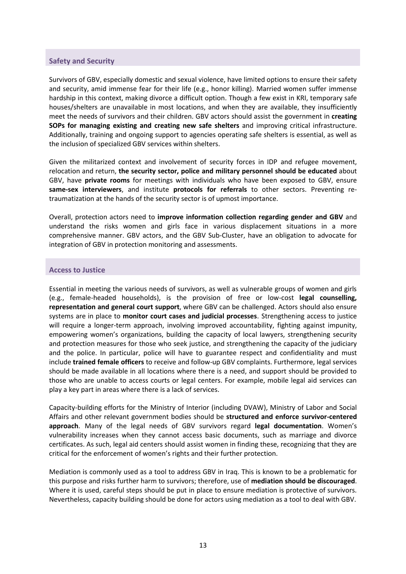#### <span id="page-12-0"></span>**Safety and Security**

Survivors of GBV, especially domestic and sexual violence, have limited options to ensure their safety and security, amid immense fear for their life (e.g., honor killing). Married women suffer immense hardship in this context, making divorce a difficult option. Though a few exist in KRI, temporary safe houses/shelters are unavailable in most locations, and when they are available, they insufficiently meet the needs of survivors and their children. GBV actors should assist the government in **creating SOPs for managing existing and creating new safe shelters** and improving critical infrastructure. Additionally, training and ongoing support to agencies operating safe shelters is essential, as well as the inclusion of specialized GBV services within shelters.

Given the militarized context and involvement of security forces in IDP and refugee movement, relocation and return, **the security sector, police and military personnel should be educated** about GBV, have **private rooms** for meetings with individuals who have been exposed to GBV, ensure **same-sex interviewers**, and institute **protocols for referrals** to other sectors. Preventing retraumatization at the hands of the security sector is of upmost importance.

Overall, protection actors need to **improve information collection regarding gender and GBV** and understand the risks women and girls face in various displacement situations in a more comprehensive manner. GBV actors, and the GBV Sub-Cluster, have an obligation to advocate for integration of GBV in protection monitoring and assessments.

#### <span id="page-12-1"></span>**Access to Justice**

Essential in meeting the various needs of survivors, as well as vulnerable groups of women and girls (e.g., female-headed households), is the provision of free or low-cost **legal counselling, representation and general court support**, where GBV can be challenged. Actors should also ensure systems are in place to **monitor court cases and judicial processes**. Strengthening access to justice will require a longer-term approach, involving improved accountability, fighting against impunity, empowering women's organizations, building the capacity of local lawyers, strengthening security and protection measures for those who seek justice, and strengthening the capacity of the judiciary and the police. In particular, police will have to guarantee respect and confidentiality and must include **trained female officers** to receive and follow-up GBV complaints. Furthermore, legal services should be made available in all locations where there is a need, and support should be provided to those who are unable to access courts or legal centers. For example, mobile legal aid services can play a key part in areas where there is a lack of services.

Capacity-building efforts for the Ministry of Interior (including DVAW), Ministry of Labor and Social Affairs and other relevant government bodies should be **structured and enforce survivor-centered approach**. Many of the legal needs of GBV survivors regard **legal documentation**. Women's vulnerability increases when they cannot access basic documents, such as marriage and divorce certificates. As such, legal aid centers should assist women in finding these, recognizing that they are critical for the enforcement of women's rights and their further protection.

Mediation is commonly used as a tool to address GBV in Iraq. This is known to be a problematic for this purpose and risks further harm to survivors; therefore, use of **mediation should be discouraged**. Where it is used, careful steps should be put in place to ensure mediation is protective of survivors. Nevertheless, capacity building should be done for actors using mediation as a tool to deal with GBV.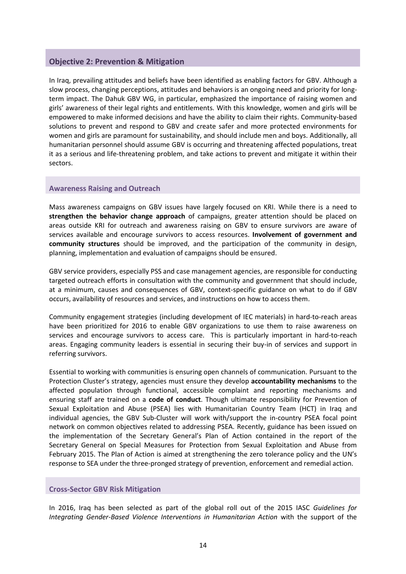#### <span id="page-13-0"></span>**Objective 2: Prevention & Mitigation**

In Iraq, prevailing attitudes and beliefs have been identified as enabling factors for GBV. Although a slow process, changing perceptions, attitudes and behaviors is an ongoing need and priority for longterm impact. The Dahuk GBV WG, in particular, emphasized the importance of raising women and girls' awareness of their legal rights and entitlements. With this knowledge, women and girls will be empowered to make informed decisions and have the ability to claim their rights. Community-based solutions to prevent and respond to GBV and create safer and more protected environments for women and girls are paramount for sustainability, and should include men and boys. Additionally, all humanitarian personnel should assume GBV is occurring and threatening affected populations, treat it as a serious and life-threatening problem, and take actions to prevent and mitigate it within their sectors.

#### <span id="page-13-1"></span>**Awareness Raising and Outreach**

Mass awareness campaigns on GBV issues have largely focused on KRI. While there is a need to **strengthen the behavior change approach** of campaigns, greater attention should be placed on areas outside KRI for outreach and awareness raising on GBV to ensure survivors are aware of services available and encourage survivors to access resources. **Involvement of government and community structures** should be improved, and the participation of the community in design, planning, implementation and evaluation of campaigns should be ensured.

GBV service providers, especially PSS and case management agencies, are responsible for conducting targeted outreach efforts in consultation with the community and government that should include, at a minimum, causes and consequences of GBV, context-specific guidance on what to do if GBV occurs, availability of resources and services, and instructions on how to access them.

Community engagement strategies (including development of IEC materials) in hard-to-reach areas have been prioritized for 2016 to enable GBV organizations to use them to raise awareness on services and encourage survivors to access care. This is particularly important in hard-to-reach areas. Engaging community leaders is essential in securing their buy-in of services and support in referring survivors.

Essential to working with communities is ensuring open channels of communication. Pursuant to the Protection Cluster's strategy, agencies must ensure they develop **accountability mechanisms** to the affected population through functional, accessible complaint and reporting mechanisms and ensuring staff are trained on a **code of conduct**. Though ultimate responsibility for Prevention of Sexual Exploitation and Abuse (PSEA) lies with Humanitarian Country Team (HCT) in Iraq and individual agencies, the GBV Sub-Cluster will work with/support the in-country PSEA focal point network on common objectives related to addressing PSEA. Recently, guidance has been issued on the implementation of the Secretary General's Plan of Action contained in the report of the Secretary General on Special Measures for Protection from Sexual Exploitation and Abuse from February 2015. The Plan of Action is aimed at strengthening the zero tolerance policy and the UN's response to SEA under the three-pronged strategy of prevention, enforcement and remedial action.

#### <span id="page-13-2"></span>**Cross-Sector GBV Risk Mitigation**

In 2016, Iraq has been selected as part of the global roll out of the 2015 IASC *Guidelines for Integrating Gender-Based Violence Interventions in Humanitarian Action* with the support of the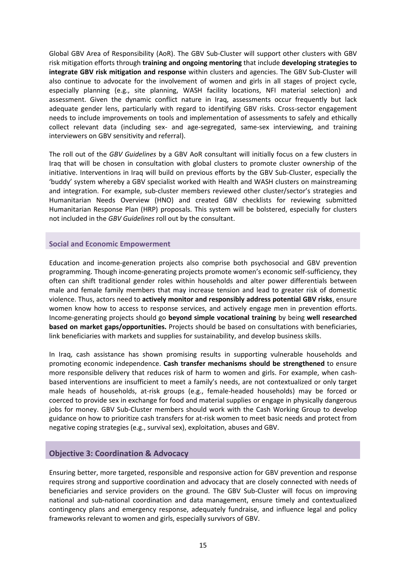Global GBV Area of Responsibility (AoR). The GBV Sub-Cluster will support other clusters with GBV risk mitigation efforts through **training and ongoing mentoring** that include **developing strategies to integrate GBV risk mitigation and response** within clusters and agencies. The GBV Sub-Cluster will also continue to advocate for the involvement of women and girls in all stages of project cycle, especially planning (e.g., site planning, WASH facility locations, NFI material selection) and assessment. Given the dynamic conflict nature in Iraq, assessments occur frequently but lack adequate gender lens, particularly with regard to identifying GBV risks. Cross-sector engagement needs to include improvements on tools and implementation of assessments to safely and ethically collect relevant data (including sex- and age-segregated, same-sex interviewing, and training interviewers on GBV sensitivity and referral).

The roll out of the *GBV Guidelines* by a GBV AoR consultant will initially focus on a few clusters in Iraq that will be chosen in consultation with global clusters to promote cluster ownership of the initiative. Interventions in Iraq will build on previous efforts by the GBV Sub-Cluster, especially the 'buddy' system whereby a GBV specialist worked with Health and WASH clusters on mainstreaming and integration. For example, sub-cluster members reviewed other cluster/sector's strategies and Humanitarian Needs Overview (HNO) and created GBV checklists for reviewing submitted Humanitarian Response Plan (HRP) proposals. This system will be bolstered, especially for clusters not included in the *GBV Guidelines* roll out by the consultant.

#### <span id="page-14-0"></span>**Social and Economic Empowerment**

Education and income-generation projects also comprise both psychosocial and GBV prevention programming. Though income-generating projects promote women's economic self-sufficiency, they often can shift traditional gender roles within households and alter power differentials between male and female family members that may increase tension and lead to greater risk of domestic violence. Thus, actors need to **actively monitor and responsibly address potential GBV risks**, ensure women know how to access to response services, and actively engage men in prevention efforts. Income-generating projects should go **beyond simple vocational training** by being **well researched based on market gaps/opportunities.** Projects should be based on consultations with beneficiaries, link beneficiaries with markets and supplies for sustainability, and develop business skills.

In Iraq, cash assistance has shown promising results in supporting vulnerable households and promoting economic independence. **Cash transfer mechanisms should be strengthened** to ensure more responsible delivery that reduces risk of harm to women and girls. For example, when cashbased interventions are insufficient to meet a family's needs, are not contextualized or only target male heads of households, at-risk groups (e.g., female-headed households) may be forced or coerced to provide sex in exchange for food and material supplies or engage in physically dangerous jobs for money. GBV Sub-Cluster members should work with the Cash Working Group to develop guidance on how to prioritize cash transfers for at-risk women to meet basic needs and protect from negative coping strategies (e.g., survival sex), exploitation, abuses and GBV.

#### <span id="page-14-1"></span>**Objective 3: Coordination & Advocacy**

Ensuring better, more targeted, responsible and responsive action for GBV prevention and response requires strong and supportive coordination and advocacy that are closely connected with needs of beneficiaries and service providers on the ground. The GBV Sub-Cluster will focus on improving national and sub-national coordination and data management, ensure timely and contextualized contingency plans and emergency response, adequately fundraise, and influence legal and policy frameworks relevant to women and girls, especially survivors of GBV.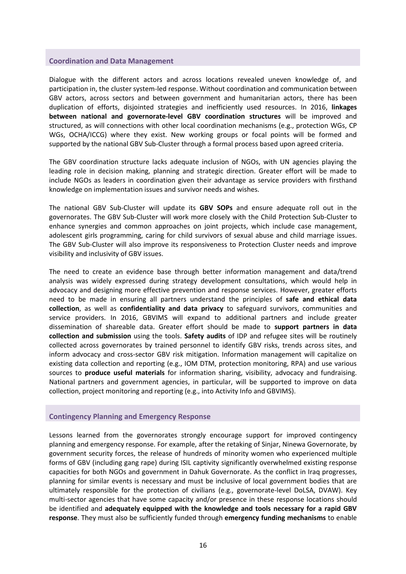#### <span id="page-15-0"></span>**Coordination and Data Management**

Dialogue with the different actors and across locations revealed uneven knowledge of, and participation in, the cluster system-led response. Without coordination and communication between GBV actors, across sectors and between government and humanitarian actors, there has been duplication of efforts, disjointed strategies and inefficiently used resources. In 2016, **linkages between national and governorate-level GBV coordination structures** will be improved and structured, as will connections with other local coordination mechanisms (e.g., protection WGs, CP WGs, OCHA/ICCG) where they exist. New working groups or focal points will be formed and supported by the national GBV Sub-Cluster through a formal process based upon agreed criteria.

The GBV coordination structure lacks adequate inclusion of NGOs, with UN agencies playing the leading role in decision making, planning and strategic direction. Greater effort will be made to include NGOs as leaders in coordination given their advantage as service providers with firsthand knowledge on implementation issues and survivor needs and wishes.

The national GBV Sub-Cluster will update its **GBV SOPs** and ensure adequate roll out in the governorates. The GBV Sub-Cluster will work more closely with the Child Protection Sub-Cluster to enhance synergies and common approaches on joint projects, which include case management, adolescent girls programming, caring for child survivors of sexual abuse and child marriage issues. The GBV Sub-Cluster will also improve its responsiveness to Protection Cluster needs and improve visibility and inclusivity of GBV issues.

The need to create an evidence base through better information management and data/trend analysis was widely expressed during strategy development consultations, which would help in advocacy and designing more effective prevention and response services. However, greater efforts need to be made in ensuring all partners understand the principles of **safe and ethical data collection**, as well as **confidentiality and data privacy** to safeguard survivors, communities and service providers. In 2016, GBVIMS will expand to additional partners and include greater dissemination of shareable data. Greater effort should be made to **support partners in data collection and submission** using the tools. **Safety audits** of IDP and refugee sites will be routinely collected across governorates by trained personnel to identify GBV risks, trends across sites, and inform advocacy and cross-sector GBV risk mitigation. Information management will capitalize on existing data collection and reporting (e.g., IOM DTM, protection monitoring, RPA) and use various sources to **produce useful materials** for information sharing, visibility, advocacy and fundraising. National partners and government agencies, in particular, will be supported to improve on data collection, project monitoring and reporting (e.g., into Activity Info and GBVIMS).

#### <span id="page-15-1"></span>**Contingency Planning and Emergency Response**

Lessons learned from the governorates strongly encourage support for improved contingency planning and emergency response. For example, after the retaking of Sinjar, Ninewa Governorate, by government security forces, the release of hundreds of minority women who experienced multiple forms of GBV (including gang rape) during ISIL captivity significantly overwhelmed existing response capacities for both NGOs and government in Dahuk Governorate. As the conflict in Iraq progresses, planning for similar events is necessary and must be inclusive of local government bodies that are ultimately responsible for the protection of civilians (e.g., governorate-level DoLSA, DVAW). Key multi-sector agencies that have some capacity and/or presence in these response locations should be identified and **adequately equipped with the knowledge and tools necessary for a rapid GBV response**. They must also be sufficiently funded through **emergency funding mechanisms** to enable